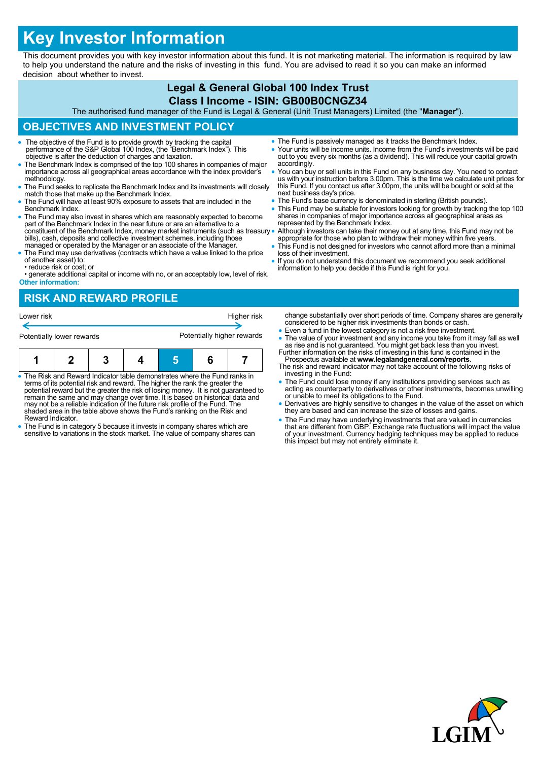# **Key Investor Information**

This document provides you with key investor information about this fund. It is not marketing material. The information is required by law to help you understand the nature and the risks of investing in this fund. You are advised to read it so you can make an informed decision about whether to invest.

#### **Legal & General Global 100 Index Trust Class I Income - ISIN: GB00B0CNGZ34**

The authorised fund manager of the Fund is Legal & General (Unit Trust Managers) Limited (the "**Manager**").

## **OBJECTIVES AND INVESTMENT POLICY**

- The objective of the Fund is to provide growth by tracking the capital performance of the S&P Global 100 Index, (the "Benchmark Index"). This objective is after the deduction of charges and taxation.
- The Benchmark Index is comprised of the top 100 shares in companies of major importance across all geographical areas accordance with the index provider's methodology.
- The Fund seeks to replicate the Benchmark Index and its investments will closely match those that make up the Benchmark Index.
- The Fund will have at least 90% exposure to assets that are included in the Benchmark Index.
- The Fund may also invest in shares which are reasonably expected to become part of the Benchmark Index in the near future or are an alternative to a constituent of the Benchmark Index, money market instruments (such as treasury bills), cash, deposits and collective investment schemes, including those managed or operated by the Manager or an associate of the Manager.
- The Fund may use derivatives (contracts which have a value linked to the price of another asset) to: • reduce risk or cost; or
- generate additional capital or income with no, or an acceptably low, level of risk. **Other information:**
- The Fund is passively managed as it tracks the Benchmark Index.
- Your units will be income units. Income from the Fund's investments will be paid out to you every six months (as a dividend). This will reduce your capital growth accordingly.
- You can buy or sell units in this Fund on any business day. You need to contact us with your instruction before 3.00pm. This is the time we calculate unit prices for this Fund. If you contact us after 3.00pm, the units w next business day's price.
- The Fund's base currency is denominated in sterling (British pounds).
- This Fund may be suitable for investors looking for growth by tracking the top 100 shares in companies of major importance across all geographical areas as represented by the Benchmark Index.
- Although investors can take their money out at any time, this Fund may not be appropriate for those who plan to withdraw their money within five years.
- This Fund is not designed for investors who cannot afford more than a minimal loss of their investment.
- If you do not understand this document we recommend you seek additional information to help you decide if this Fund is right for you.

# **RISK AND REWARD PROFILE**



- The Risk and Reward Indicator table demonstrates where the Fund ranks in terms of its potential risk and reward. The higher the rank the greater the potential reward but the greater the risk of losing money. It is not guaranteed to remain the same and may change over time. It is based on historical data and may not be a reliable indication of the future risk profile of the Fund. The shaded area in the table above shows the Fund's ranking on the Risk and Reward Indicator.
- The Fund is in category 5 because it invests in company shares which are sensitive to variations in the stock market. The value of company shares can
- change substantially over short periods of time. Company shares are generally considered to be higher risk investments than bonds or cash.
- Even a fund in the lowest category is not a risk free investment. • The value of your investment and any income you take from it may fall as well as rise and is not guaranteed. You might get back less than you invest.<br>Further information on the risks of investing in this fund is containe
- Prospectus available at **www.legalandgeneral.com/reports**.
- The risk and reward indicator may not take account of the following risks of investing in the Fund:
- The Fund could lose money if any institutions providing services such as acting as counterparty to derivatives or other instruments, becomes unwilling or unable to meet its obligations to the Fund.
- Derivatives are highly sensitive to changes in the value of the asset on which they are based and can increase the size of losses and gains.
- The Fund may have underlying investments that are valued in currencies that are different from GBP. Exchange rate fluctuations will impact the value of your investment. Currency hedging techniques may be applied to reduce this impact but may not entirely eliminate it.